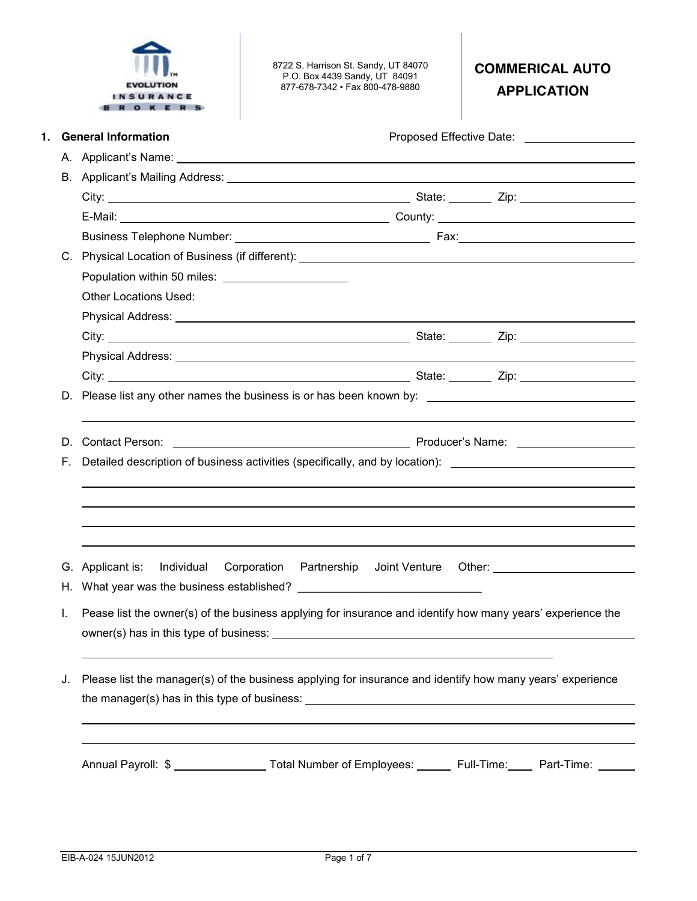

8722 S. Harrison St. Sandy, UT 84070 P.O. Box 4439 Sandy, UT 84091 877-678-7342 • Fax 800-478-9880

# **COMMERICAL AUTO APPLICATION**

| <b>Other Locations Used:</b><br>Physical Address: Note of the Contract of the Contract of the Contract of the Contract of the Contract of the Contract of the Contract of the Contract of the Contract of the Contract of the Contract of the Contract of the<br><b>Contact Person:</b><br>D.<br>Detailed description of business activities (specifically, and by location): ______________________<br>F.<br>Partnership Joint Venture Other: 1988 1998 1999<br>G. Applicant is:<br>Individual Corporation<br>Pease list the owner(s) of the business applying for insurance and identify how many years' experience the<br>L.<br>owner(s) has in this type of business:<br>Please list the manager(s) of the business applying for insurance and identify how many years' experience<br>J. | 1. | <b>General Information</b> | Proposed Effective Date: _____________________ |
|----------------------------------------------------------------------------------------------------------------------------------------------------------------------------------------------------------------------------------------------------------------------------------------------------------------------------------------------------------------------------------------------------------------------------------------------------------------------------------------------------------------------------------------------------------------------------------------------------------------------------------------------------------------------------------------------------------------------------------------------------------------------------------------------|----|----------------------------|------------------------------------------------|
|                                                                                                                                                                                                                                                                                                                                                                                                                                                                                                                                                                                                                                                                                                                                                                                              |    |                            |                                                |
|                                                                                                                                                                                                                                                                                                                                                                                                                                                                                                                                                                                                                                                                                                                                                                                              |    |                            |                                                |
|                                                                                                                                                                                                                                                                                                                                                                                                                                                                                                                                                                                                                                                                                                                                                                                              |    |                            |                                                |
|                                                                                                                                                                                                                                                                                                                                                                                                                                                                                                                                                                                                                                                                                                                                                                                              |    |                            |                                                |
|                                                                                                                                                                                                                                                                                                                                                                                                                                                                                                                                                                                                                                                                                                                                                                                              |    |                            |                                                |
|                                                                                                                                                                                                                                                                                                                                                                                                                                                                                                                                                                                                                                                                                                                                                                                              |    |                            |                                                |
|                                                                                                                                                                                                                                                                                                                                                                                                                                                                                                                                                                                                                                                                                                                                                                                              |    |                            |                                                |
|                                                                                                                                                                                                                                                                                                                                                                                                                                                                                                                                                                                                                                                                                                                                                                                              |    |                            |                                                |
|                                                                                                                                                                                                                                                                                                                                                                                                                                                                                                                                                                                                                                                                                                                                                                                              |    |                            |                                                |
|                                                                                                                                                                                                                                                                                                                                                                                                                                                                                                                                                                                                                                                                                                                                                                                              |    |                            |                                                |
|                                                                                                                                                                                                                                                                                                                                                                                                                                                                                                                                                                                                                                                                                                                                                                                              |    |                            |                                                |
|                                                                                                                                                                                                                                                                                                                                                                                                                                                                                                                                                                                                                                                                                                                                                                                              |    |                            |                                                |
|                                                                                                                                                                                                                                                                                                                                                                                                                                                                                                                                                                                                                                                                                                                                                                                              |    |                            |                                                |
|                                                                                                                                                                                                                                                                                                                                                                                                                                                                                                                                                                                                                                                                                                                                                                                              |    |                            |                                                |
|                                                                                                                                                                                                                                                                                                                                                                                                                                                                                                                                                                                                                                                                                                                                                                                              |    |                            |                                                |
|                                                                                                                                                                                                                                                                                                                                                                                                                                                                                                                                                                                                                                                                                                                                                                                              |    |                            |                                                |
|                                                                                                                                                                                                                                                                                                                                                                                                                                                                                                                                                                                                                                                                                                                                                                                              |    |                            |                                                |
|                                                                                                                                                                                                                                                                                                                                                                                                                                                                                                                                                                                                                                                                                                                                                                                              |    |                            |                                                |
|                                                                                                                                                                                                                                                                                                                                                                                                                                                                                                                                                                                                                                                                                                                                                                                              |    |                            |                                                |
|                                                                                                                                                                                                                                                                                                                                                                                                                                                                                                                                                                                                                                                                                                                                                                                              |    |                            |                                                |
|                                                                                                                                                                                                                                                                                                                                                                                                                                                                                                                                                                                                                                                                                                                                                                                              |    |                            |                                                |
|                                                                                                                                                                                                                                                                                                                                                                                                                                                                                                                                                                                                                                                                                                                                                                                              |    |                            |                                                |
|                                                                                                                                                                                                                                                                                                                                                                                                                                                                                                                                                                                                                                                                                                                                                                                              |    |                            |                                                |
|                                                                                                                                                                                                                                                                                                                                                                                                                                                                                                                                                                                                                                                                                                                                                                                              |    |                            |                                                |
|                                                                                                                                                                                                                                                                                                                                                                                                                                                                                                                                                                                                                                                                                                                                                                                              |    |                            |                                                |
|                                                                                                                                                                                                                                                                                                                                                                                                                                                                                                                                                                                                                                                                                                                                                                                              |    |                            |                                                |
|                                                                                                                                                                                                                                                                                                                                                                                                                                                                                                                                                                                                                                                                                                                                                                                              |    |                            |                                                |
|                                                                                                                                                                                                                                                                                                                                                                                                                                                                                                                                                                                                                                                                                                                                                                                              |    |                            |                                                |
|                                                                                                                                                                                                                                                                                                                                                                                                                                                                                                                                                                                                                                                                                                                                                                                              |    |                            |                                                |
|                                                                                                                                                                                                                                                                                                                                                                                                                                                                                                                                                                                                                                                                                                                                                                                              |    |                            |                                                |
|                                                                                                                                                                                                                                                                                                                                                                                                                                                                                                                                                                                                                                                                                                                                                                                              |    |                            |                                                |
|                                                                                                                                                                                                                                                                                                                                                                                                                                                                                                                                                                                                                                                                                                                                                                                              |    |                            |                                                |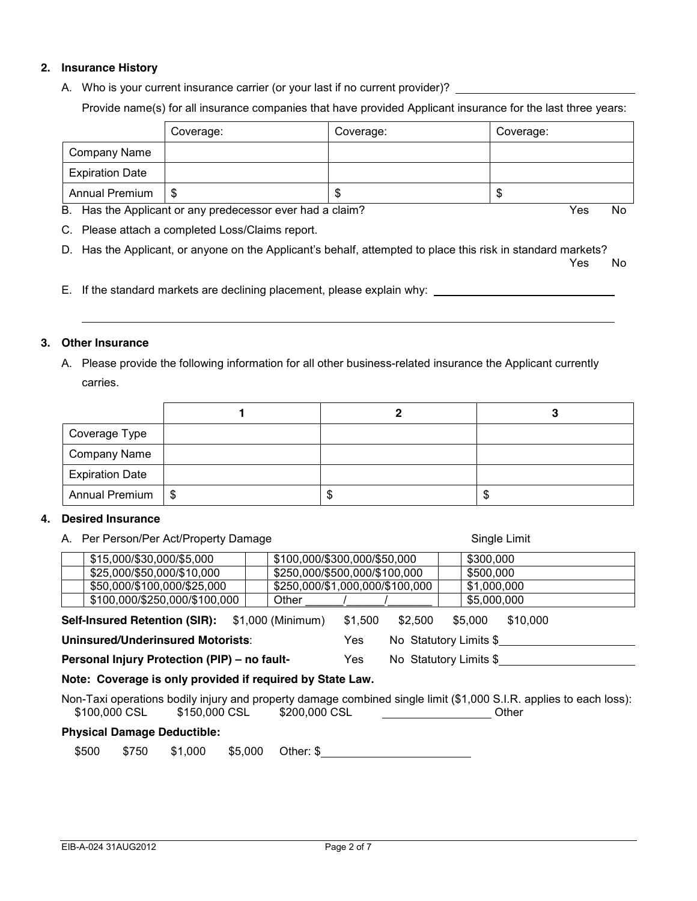### **2. Insurance History**

A. Who is your current insurance carrier (or your last if no current provider)? \_\_\_\_\_\_\_

Provide name(s) for all insurance companies that have provided Applicant insurance for the last three years:

|                        | Coverage: | Coverage: | Coverage: |
|------------------------|-----------|-----------|-----------|
| Company Name           |           |           |           |
| <b>Expiration Date</b> |           |           |           |
| Annual Premium         | - \$      |           | мD        |

B. Has the Applicant or any predecessor ever had a claim? The Vestory of the Vestory of No. No. No. No. No. No

C. Please attach a completed Loss/Claims report.

D. Has the Applicant, or anyone on the Applicant's behalf, attempted to place this risk in standard markets?

where the contract of the contract of the contract of the contract of the contract of the contract of the contract of the contract of the contract of the contract of the contract of the contract of the contract of the cont

E. If the standard markets are declining placement, please explain why:

### **3. Other Insurance**

A. Please provide the following information for all other business-related insurance the Applicant currently carries.

| Coverage Type          |  |   |
|------------------------|--|---|
| Company Name           |  |   |
| <b>Expiration Date</b> |  |   |
| Annual Premium   \$    |  | Œ |

### **4. Desired Insurance**

| A. Per Person/Per Act/Property Damage                                                               | Single Limit                                                                                                                |  |  |  |  |  |
|-----------------------------------------------------------------------------------------------------|-----------------------------------------------------------------------------------------------------------------------------|--|--|--|--|--|
| \$15,000/\$30,000/\$5,000                                                                           | \$100,000/\$300,000/\$50,000<br>\$300,000                                                                                   |  |  |  |  |  |
| \$25,000/\$50,000/\$10,000                                                                          | \$250,000/\$500,000/\$100,000<br>\$500,000                                                                                  |  |  |  |  |  |
| \$50,000/\$100,000/\$25,000                                                                         | \$250,000/\$1,000,000/\$100,000<br>\$1,000,000                                                                              |  |  |  |  |  |
| \$100,000/\$250,000/\$100,000<br>Other                                                              | \$5,000,000                                                                                                                 |  |  |  |  |  |
| \$10,000<br><b>Self-Insured Retention (SIR):</b> \$1,000 (Minimum)<br>\$1,500<br>\$2.500<br>\$5.000 |                                                                                                                             |  |  |  |  |  |
| Uninsured/Underinsured Motorists:                                                                   | No Statutory Limits \$<br>Yes                                                                                               |  |  |  |  |  |
| Personal Injury Protection (PIP) - no fault-                                                        | No Statutory Limits \$<br>Yes                                                                                               |  |  |  |  |  |
| Note: Coverage is only provided if required by State Law.                                           |                                                                                                                             |  |  |  |  |  |
| \$100,000 CSL \$150,000 CSL<br>\$200,000 CSL                                                        | Non-Taxi operations bodily injury and property damage combined single limit (\$1,000 S.I.R. applies to each loss):<br>Other |  |  |  |  |  |
|                                                                                                     |                                                                                                                             |  |  |  |  |  |

### **Physical Damage Deductible:**

\$500 \$750 \$1,000 \$5,000 Other: \$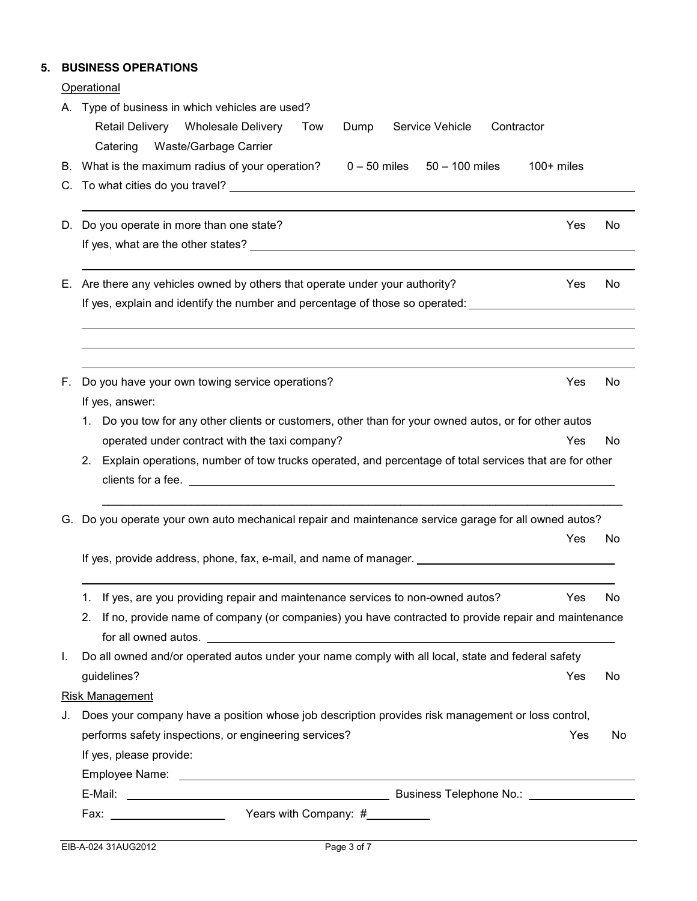## **5. BUSINESS OPERATIONS**

**Operational** 

|    | A. Type of business in which vehicles are used?<br>Retail Delivery Wholesale Delivery Tow<br>Service Vehicle<br>Contractor<br>Dump |     |     |  |  |  |  |  |
|----|------------------------------------------------------------------------------------------------------------------------------------|-----|-----|--|--|--|--|--|
|    | <b>Waste/Garbage Carrier</b><br>Catering                                                                                           |     |     |  |  |  |  |  |
|    | B. What is the maximum radius of your operation?<br>$0 - 50$ miles $50 - 100$ miles<br>$100+$ miles                                |     |     |  |  |  |  |  |
|    |                                                                                                                                    |     |     |  |  |  |  |  |
|    |                                                                                                                                    |     |     |  |  |  |  |  |
| D. | Do you operate in more than one state?                                                                                             | Yes | No  |  |  |  |  |  |
|    |                                                                                                                                    |     |     |  |  |  |  |  |
| Е. | Are there any vehicles owned by others that operate under your authority?                                                          | Yes | No. |  |  |  |  |  |
|    | If yes, explain and identify the number and percentage of those so operated: _______________________                               |     |     |  |  |  |  |  |
|    |                                                                                                                                    |     |     |  |  |  |  |  |
| F. | Do you have your own towing service operations?                                                                                    | Yes | No  |  |  |  |  |  |
|    | If yes, answer:                                                                                                                    |     |     |  |  |  |  |  |
|    | 1. Do you tow for any other clients or customers, other than for your owned autos, or for other autos                              |     |     |  |  |  |  |  |
|    | operated under contract with the taxi company?                                                                                     | Yes | No  |  |  |  |  |  |
|    | Explain operations, number of tow trucks operated, and percentage of total services that are for other<br>2.                       |     |     |  |  |  |  |  |
| G. | Do you operate your own auto mechanical repair and maintenance service garage for all owned autos?                                 |     |     |  |  |  |  |  |
|    |                                                                                                                                    | Yes | No  |  |  |  |  |  |
|    | If yes, provide address, phone, fax, e-mail, and name of manager. __________________________________                               |     |     |  |  |  |  |  |
|    | 1. If yes, are you providing repair and maintenance services to non-owned autos?                                                   | Yes | No  |  |  |  |  |  |
|    | If no, provide name of company (or companies) you have contracted to provide repair and maintenance<br>2.                          |     |     |  |  |  |  |  |
|    |                                                                                                                                    |     |     |  |  |  |  |  |
| I. | Do all owned and/or operated autos under your name comply with all local, state and federal safety                                 |     |     |  |  |  |  |  |
|    | guidelines?                                                                                                                        | Yes | No  |  |  |  |  |  |
|    | <b>Risk Management</b>                                                                                                             |     |     |  |  |  |  |  |
| J. | Does your company have a position whose job description provides risk management or loss control,                                  |     |     |  |  |  |  |  |
|    | performs safety inspections, or engineering services?                                                                              | Yes | No  |  |  |  |  |  |
|    | If yes, please provide:                                                                                                            |     |     |  |  |  |  |  |
|    |                                                                                                                                    |     |     |  |  |  |  |  |
|    |                                                                                                                                    |     |     |  |  |  |  |  |
|    |                                                                                                                                    |     |     |  |  |  |  |  |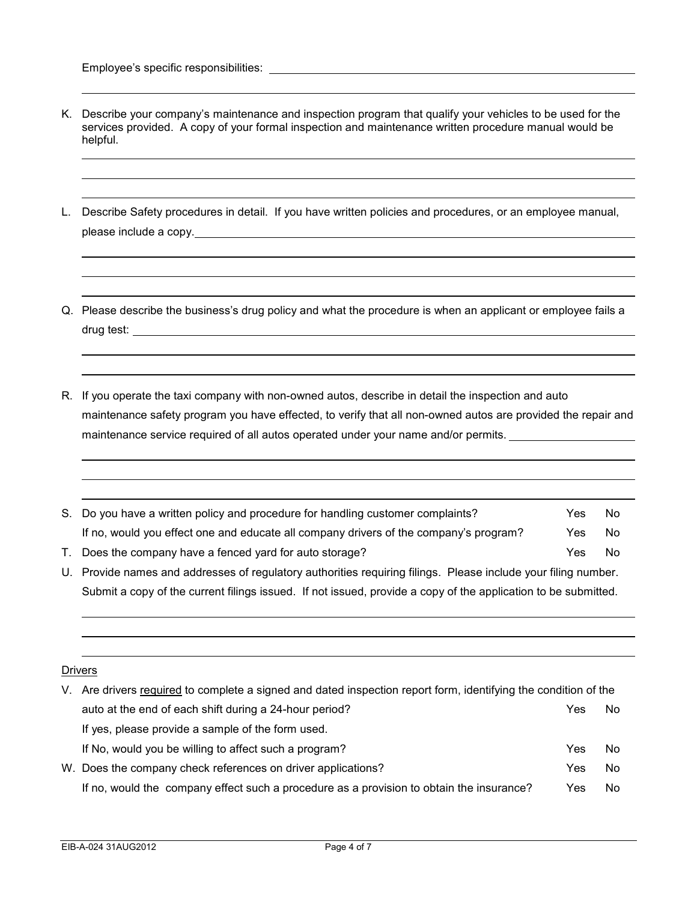- K. Describe your company's maintenance and inspection program that qualify your vehicles to be used for the services provided. A copy of your formal inspection and maintenance written procedure manual would be helpful.
- L. Describe Safety procedures in detail. If you have written policies and procedures, or an employee manual, please include a copy.
- Q. Please describe the business's drug policy and what the procedure is when an applicant or employee fails a drug test:
- R. If you operate the taxi company with non-owned autos, describe in detail the inspection and auto maintenance safety program you have effected, to verify that all non-owned autos are provided the repair and maintenance service required of all autos operated under your name and/or permits.

| S. Do you have a written policy and procedure for handling customer complaints?       | Yes. | No |
|---------------------------------------------------------------------------------------|------|----|
| If no, would you effect one and educate all company drivers of the company's program? | Yes  | No |
| T. Does the company have a fenced yard for auto storage?                              | Yes  | N٥ |

U. Provide names and addresses of regulatory authorities requiring filings. Please include your filing number. Submit a copy of the current filings issued. If not issued, provide a copy of the application to be submitted.

# Drivers

| V. Are drivers required to complete a signed and dated inspection report form, identifying the condition of the |     |    |  |  |  |  |
|-----------------------------------------------------------------------------------------------------------------|-----|----|--|--|--|--|
| auto at the end of each shift during a 24-hour period?                                                          | Yes | No |  |  |  |  |
| If yes, please provide a sample of the form used.                                                               |     |    |  |  |  |  |
| If No, would you be willing to affect such a program?                                                           | Yes | No |  |  |  |  |
| W. Does the company check references on driver applications?                                                    | Yes | No |  |  |  |  |
| If no, would the company effect such a procedure as a provision to obtain the insurance?                        | Yes | No |  |  |  |  |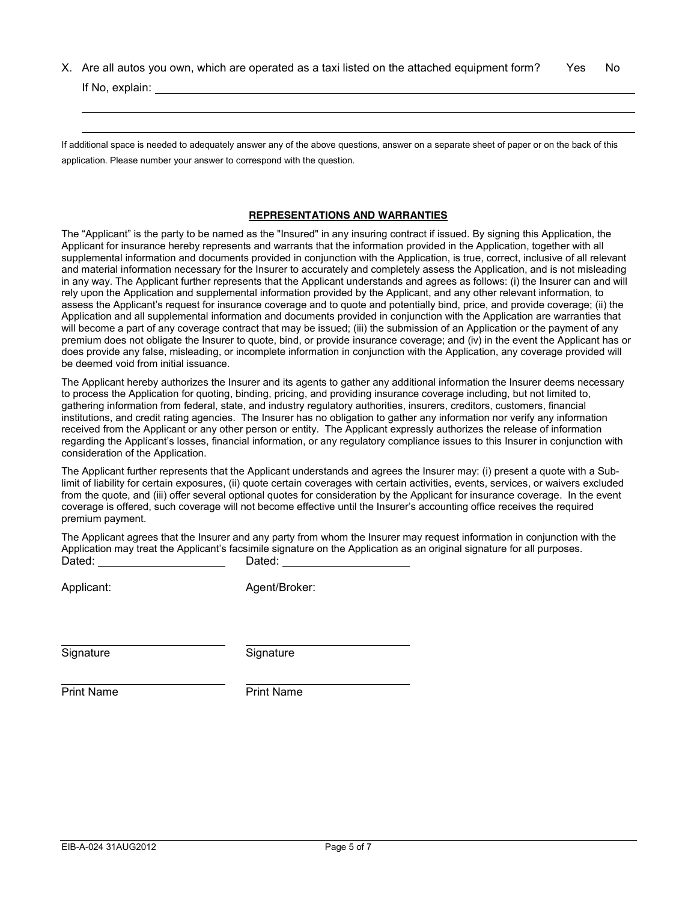X. Are all autos you own, which are operated as a taxi listed on the attached equipment form? Yes No If No, explain:

If additional space is needed to adequately answer any of the above questions, answer on a separate sheet of paper or on the back of this application. Please number your answer to correspond with the question.

#### **REPRESENTATIONS AND WARRANTIES**

The "Applicant" is the party to be named as the "Insured" in any insuring contract if issued. By signing this Application, the Applicant for insurance hereby represents and warrants that the information provided in the Application, together with all supplemental information and documents provided in conjunction with the Application, is true, correct, inclusive of all relevant and material information necessary for the Insurer to accurately and completely assess the Application, and is not misleading in any way. The Applicant further represents that the Applicant understands and agrees as follows: (i) the Insurer can and will rely upon the Application and supplemental information provided by the Applicant, and any other relevant information, to assess the Applicant's request for insurance coverage and to quote and potentially bind, price, and provide coverage; (ii) the Application and all supplemental information and documents provided in conjunction with the Application are warranties that will become a part of any coverage contract that may be issued; (iii) the submission of an Application or the payment of any premium does not obligate the Insurer to quote, bind, or provide insurance coverage; and (iv) in the event the Applicant has or does provide any false, misleading, or incomplete information in conjunction with the Application, any coverage provided will be deemed void from initial issuance.

The Applicant hereby authorizes the Insurer and its agents to gather any additional information the Insurer deems necessary to process the Application for quoting, binding, pricing, and providing insurance coverage including, but not limited to, gathering information from federal, state, and industry regulatory authorities, insurers, creditors, customers, financial institutions, and credit rating agencies. The Insurer has no obligation to gather any information nor verify any information received from the Applicant or any other person or entity. The Applicant expressly authorizes the release of information regarding the Applicant's losses, financial information, or any regulatory compliance issues to this Insurer in conjunction with consideration of the Application.

The Applicant further represents that the Applicant understands and agrees the Insurer may: (i) present a quote with a Sublimit of liability for certain exposures, (ii) quote certain coverages with certain activities, events, services, or waivers excluded from the quote, and (iii) offer several optional quotes for consideration by the Applicant for insurance coverage. In the event coverage is offered, such coverage will not become effective until the Insurer's accounting office receives the required premium payment.

The Applicant agrees that the Insurer and any party from whom the Insurer may request information in conjunction with the Application may treat the Applicant's facsimile signature on the Application as an original signature for all purposes. Dated: Dated: Dated:

Applicant: Agent/Broker:

Signature Signature Signature

Print Name **Print Name**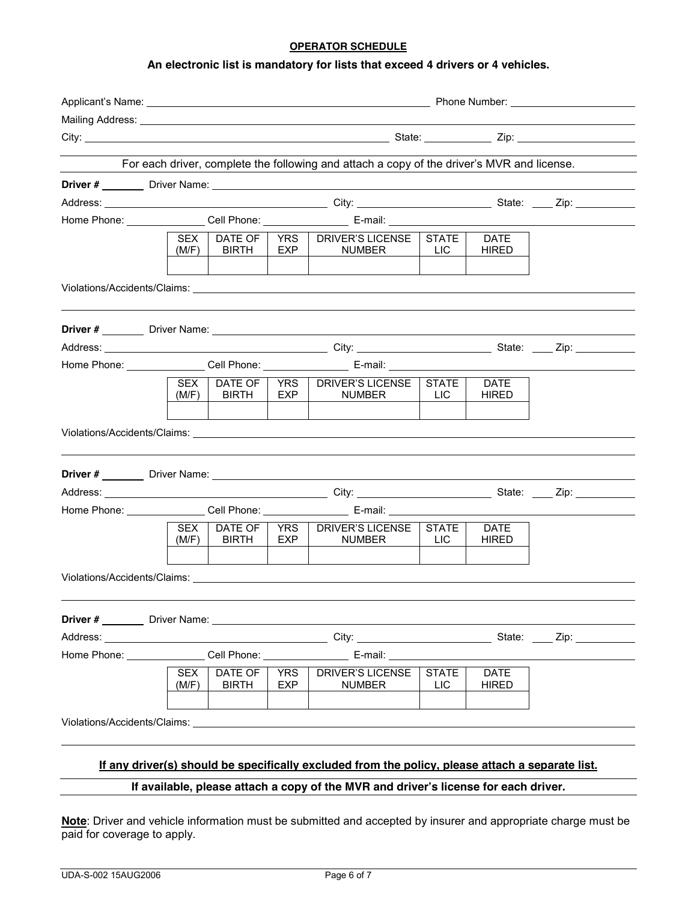### **OPERATOR SCHEDULE**

### **An electronic list is mandatory for lists that exceed 4 drivers or 4 vehicles.**

|  |                     |                                 |                   | For each driver, complete the following and attach a copy of the driver's MVR and license.                                                                                                                                     |                            |                             |  |  |  |  |
|--|---------------------|---------------------------------|-------------------|--------------------------------------------------------------------------------------------------------------------------------------------------------------------------------------------------------------------------------|----------------------------|-----------------------------|--|--|--|--|
|  |                     |                                 |                   |                                                                                                                                                                                                                                |                            |                             |  |  |  |  |
|  |                     |                                 |                   |                                                                                                                                                                                                                                |                            |                             |  |  |  |  |
|  |                     |                                 |                   |                                                                                                                                                                                                                                |                            |                             |  |  |  |  |
|  | SEX                 | DATE OF                         |                   | YRS   DRIVER'S LICENSE   STATE                                                                                                                                                                                                 |                            | DATE                        |  |  |  |  |
|  | (M/F)               | <b>BIRTH</b>                    | EXP               | <b>NUMBER</b>                                                                                                                                                                                                                  | <b>LIC</b>                 | <b>HIRED</b>                |  |  |  |  |
|  |                     |                                 |                   |                                                                                                                                                                                                                                |                            |                             |  |  |  |  |
|  |                     |                                 |                   |                                                                                                                                                                                                                                |                            |                             |  |  |  |  |
|  |                     |                                 |                   |                                                                                                                                                                                                                                |                            |                             |  |  |  |  |
|  |                     |                                 |                   | Home Phone: Cell Phone: Cell Phone: E-mail: C-mail: C-mail: C-mail: C-mail: C-mail: C-mail: C-mail: C-mail: C-mail: C-mail: C-mail: C-mail: C-mail: C-mail: C-mail: C-mail: C-mail: C-mail: C-mail: C-mail: C-mail: C-mail: C- |                            |                             |  |  |  |  |
|  | (M/F)               | SEX   DATE OF  <br><b>BIRTH</b> | EXP               | YRS   DRIVER'S LICENSE   STATE<br><b>NUMBER</b>                                                                                                                                                                                | <b>LIC</b>                 | <b>DATE</b><br><b>HIRED</b> |  |  |  |  |
|  |                     |                                 |                   |                                                                                                                                                                                                                                |                            |                             |  |  |  |  |
|  |                     |                                 |                   |                                                                                                                                                                                                                                |                            |                             |  |  |  |  |
|  |                     |                                 |                   |                                                                                                                                                                                                                                |                            |                             |  |  |  |  |
|  |                     |                                 |                   | Home Phone: ________________Cell Phone: ________________________ E-mail: ______________                                                                                                                                        |                            |                             |  |  |  |  |
|  | <b>SEX</b><br>(M/F) | DATE OF<br><b>BIRTH</b>         | YRS<br>EXP        | DRIVER'S LICENSE<br><b>NUMBER</b>                                                                                                                                                                                              | <b>STATE</b><br><b>LIC</b> | <b>DATE</b><br>HIRED        |  |  |  |  |
|  |                     |                                 |                   |                                                                                                                                                                                                                                |                            |                             |  |  |  |  |
|  |                     |                                 |                   |                                                                                                                                                                                                                                |                            |                             |  |  |  |  |
|  |                     |                                 |                   |                                                                                                                                                                                                                                |                            |                             |  |  |  |  |
|  |                     |                                 |                   | Home Phone: Cell Phone: Cell Phone: E-mail:                                                                                                                                                                                    |                            |                             |  |  |  |  |
|  | <b>SEX</b><br>(M/F) | <b>DATE OF</b><br><b>BIRTH</b>  | <b>YRS</b><br>EXP | <b>DRIVER'S LICENSE</b><br><b>NUMBER</b>                                                                                                                                                                                       | <b>STATE</b><br><b>LIC</b> | <b>DATE</b><br><b>HIRED</b> |  |  |  |  |
|  |                     |                                 |                   | Violations/Accidents/Claims: Williams and Contract and Contract and Contract and Contract and Contract and Contract and Contract and Contract and Contract and Contract and Contract and Contract and Contract and Contract an |                            |                             |  |  |  |  |
|  |                     |                                 |                   | If any driver(s) should be specifically excluded from the policy, please attach a separate list.                                                                                                                               |                            |                             |  |  |  |  |
|  |                     |                                 |                   | If available, please attach a copy of the MVR and driver's license for each driver.                                                                                                                                            |                            |                             |  |  |  |  |

**Note**: Driver and vehicle information must be submitted and accepted by insurer and appropriate charge must be paid for coverage to apply.